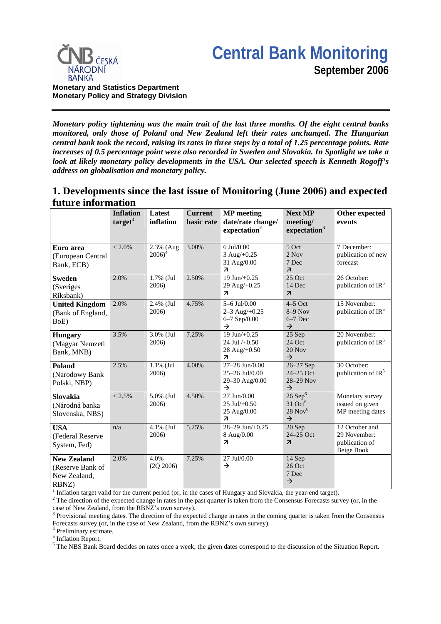



*Monetary policy tightening was the main trait of the last three months. Of the eight central banks monitored, only those of Poland and New Zealand left their rates unchanged. The Hungarian central bank took the record, raising its rates in three steps by a total of 1.25 percentage points. Rate increases of 0.5 percentage point were also recorded in Sweden and Slovakia. In Spotlight we take a look at likely monetary policy developments in the USA. Our selected speech is Kenneth Rogoff's address on globalisation and monetary policy.*

## **1. Developments since the last issue of Monitoring (June 2006) and expected future information**

|                                                                 | <b>Inflation</b><br>target <sup>1</sup> | Latest<br>inflation    | <b>Current</b><br>basic rate | <b>MP</b> meeting<br>date/rate change/<br>expectation <sup>2</sup>             | <b>Next MP</b><br>meeting/<br>expectation <sup>3</sup>                          | Other expected<br>events                                              |
|-----------------------------------------------------------------|-----------------------------------------|------------------------|------------------------------|--------------------------------------------------------------------------------|---------------------------------------------------------------------------------|-----------------------------------------------------------------------|
| Euro area<br>(European Central<br>Bank, ECB)                    | $< 2.0\%$                               | 2.3% (Aug<br>$2006)^4$ | 3.00%                        | 6 Jul/0.00<br>3 Aug/+0.25<br>31 Aug/0.00<br>$\overline{\mathcal{A}}$           | 5 Oct<br>2 Nov<br>7 Dec<br>$\overline{\mathbf{z}}$                              | 7 December:<br>publication of new<br>forecast                         |
| <b>Sweden</b><br>(Sveriges<br>Riksbank)                         | 2.0%                                    | $1.7\%$ (Jul<br>2006)  | 2.50%                        | $19$ Jun $/+0.25$<br>29 Aug/+0.25<br>$\overline{\mathbf{z}}$                   | $25$ Oct<br>14 Dec<br>$\overline{\mathcal{L}}$                                  | 26 October:<br>publication of IR <sup>5</sup>                         |
| <b>United Kingdom</b><br>(Bank of England,<br>BoE)              | 2.0%                                    | 2.4% (Jul<br>2006)     | 4.75%                        | $5-6$ Jul/0.00<br>$2 - 3$ Aug/+0.25<br>6-7 Sep/0.00<br>$\rightarrow$           | $4-5$ Oct<br>$8-9$ Nov<br>$6-7$ Dec<br>$\rightarrow$                            | 15 November:<br>publication of IR <sup>5</sup>                        |
| <b>Hungary</b><br>(Magyar Nemzeti<br>Bank, MNB)                 | 3.5%                                    | 3.0% (Jul<br>2006)     | 7.25%                        | 19 Jun/ $+0.25$<br>24 Jul $/+0.50$<br>28 Aug/+0.50<br>$\overline{\mathcal{L}}$ | 25 Sep<br>24 Oct<br>20 Nov<br>$\rightarrow$                                     | 20 November:<br>publication of $IR5$                                  |
| Poland<br>(Narodowy Bank<br>Polski, NBP)                        | 2.5%                                    | $1.1\%$ (Jul<br>2006)  | 4.00%                        | 27-28 Jun/0.00<br>25-26 Jul/0.00<br>29-30 Aug/0.00<br>$\rightarrow$            | $26 - 27$ Sep<br>24-25 Oct<br>28-29 Nov<br>$\rightarrow$                        | 30 October:<br>publication of $IR5$                                   |
| <b>Slovakia</b><br>(Národná banka<br>Slovenska, NBS)            | $< 2.5\%$                               | 5.0% (Jul<br>2006)     | 4.50%                        | 27 Jun/0.00<br>$25$ Jul/+0.50<br>25 Aug/0.00<br>$\overline{\mathcal{A}}$       | $26$ Sep $6$<br>$31$ Oct <sup>6</sup><br>$28$ Nov <sup>6</sup><br>$\rightarrow$ | Monetary survey<br>issued on given<br>MP meeting dates                |
| <b>USA</b><br>(Federal Reserve<br>System, Fed)                  | n/a                                     | 4.1% (Jul<br>2006)     | 5.25%                        | $28 - 29$ Jun/ $+0.25$<br>8 Aug/0.00<br>$\overline{\mathcal{L}}$               | 20 Sep<br>24-25 Oct<br>$\overline{\mathcal{A}}$                                 | 12 October and<br>29 November:<br>publication of<br><b>Beige Book</b> |
| <b>New Zealand</b><br>(Reserve Bank of<br>New Zealand,<br>RBNZ) | 2.0%                                    | 4.0%<br>(2Q 2006)      | 7.25%                        | 27 Jul/0.00<br>$\rightarrow$                                                   | 14 Sep<br>26 Oct<br>7 Dec<br>$\rightarrow$                                      |                                                                       |

<sup>1</sup> Inflation target valid for the current period (or, in the cases of Hungary and Slovakia, the year-end target). <sup>2</sup> The direction of the expected change in rates in the pert quarter is taken from the Consensus Ecreaset

<sup>2</sup> The direction of the expected change in rates in the past quarter is taken from the Consensus Forecasts survey (or, in the

case of New Zealand, from the RBNZ's own survey).  $3$  Provisional meeting dates. The direction of the expected change in rates in the coming quarter is taken from the Consensus

Forecasts survey (or, in the case of New Zealand, from the RBNZ's own survey).

4 Preliminary estimate.

<sup>5</sup> Inflation Report.

<sup>6</sup> The NBS Bank Board decides on rates once a week; the given dates correspond to the discussion of the Situation Report.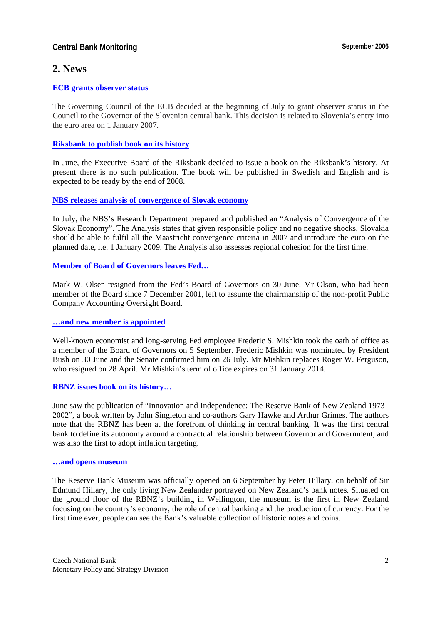## **Central Bank Monitoring Central Bank Monitoring September 2006**

## **2. News**

### **[ECB grants observer status](http://www.ecb.int/press/govcdec/otherdec/2006/html/gc060721.en.html)**

The Governing Council of the ECB decided at the beginning of July to grant observer status in the Council to the Governor of the Slovenian central bank. This decision is related to Slovenia's entry into the euro area on 1 January 2007.

### **[Riksbank to publish book on its history](http://www.riksbank.com/templates/Page.aspx?id=21871)**

In June, the Executive Board of the Riksbank decided to issue a book on the Riksbank's history. At present there is no such publication. The book will be published in Swedish and English and is expected to be ready by the end of 2008.

#### **[NBS releases analysis of convergence of Slovak economy](http://www.nbs.sk/PUBLIK/06_KOL4.PDF)**

In July, the NBS's Research Department prepared and published an "Analysis of Convergence of the Slovak Economy". The Analysis states that given responsible policy and no negative shocks, Slovakia should be able to fulfil all the Maastricht convergence criteria in 2007 and introduce the euro on the planned date, i.e. 1 January 2009. The Analysis also assesses regional cohesion for the first time.

### **[Member of Board of Governors leaves Fed…](http://www.federalreserve.gov/boarddocs/press/other/2006/20060621/default.htm)**

Mark W. Olsen resigned from the Fed's Board of Governors on 30 June. Mr Olson, who had been member of the Board since 7 December 2001, left to assume the chairmanship of the non-profit Public Company Accounting Oversight Board.

#### **[…and new member is appointed](http://www.federalreserve.gov/boarddocs/press/other/2006/20060905/default.htm)**

Well-known economist and long-serving Fed employee Frederic S. Mishkin took the oath of office as a member of the Board of Governors on 5 September. Frederic Mishkin was nominated by President Bush on 30 June and the Senate confirmed him on 26 July. Mr Mishkin replaces Roger W. Ferguson, who resigned on 28 April. Mr Mishkin's term of office expires on 31 January 2014.

#### **[RBNZ issues book on its history…](http://www.rbnz.govt.nz/news/2006/2619721.html#TopOfPage)**

June saw the publication of "Innovation and Independence: The Reserve Bank of New Zealand 1973– 2002", a book written by John Singleton and co-authors Gary Hawke and Arthur Grimes. The authors note that the RBNZ has been at the forefront of thinking in central banking. It was the first central bank to define its autonomy around a contractual relationship between Governor and Government, and was also the first to adopt inflation targeting.

#### **[…and opens museum](http://www.rbnz.govt.nz/news/2006/2762615.html)**

The Reserve Bank Museum was officially opened on 6 September by Peter Hillary, on behalf of Sir Edmund Hillary, the only living New Zealander portrayed on New Zealand's bank notes. Situated on the ground floor of the RBNZ's building in Wellington, the museum is the first in New Zealand focusing on the country's economy, the role of central banking and the production of currency. For the first time ever, people can see the Bank's valuable collection of historic notes and coins.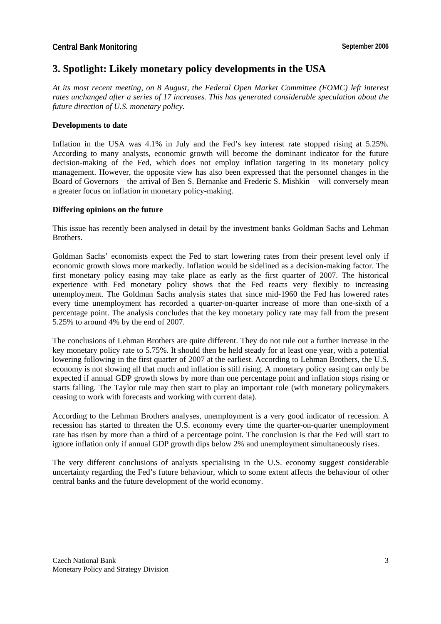# **3. Spotlight: Likely monetary policy developments in the USA**

*At its most recent meeting, on 8 August, the Federal Open Market Committee (FOMC) left interest rates unchanged after a series of 17 increases. This has generated considerable speculation about the future direction of U.S. monetary policy.*

#### **Developments to date**

Inflation in the USA was 4.1% in July and the Fed's key interest rate stopped rising at 5.25%. According to many analysts, economic growth will become the dominant indicator for the future decision-making of the Fed, which does not employ inflation targeting in its monetary policy management. However, the opposite view has also been expressed that the personnel changes in the Board of Governors – the arrival of Ben S. Bernanke and Frederic S. Mishkin – will conversely mean a greater focus on inflation in monetary policy-making.

#### **Differing opinions on the future**

This issue has recently been analysed in detail by the investment banks Goldman Sachs and Lehman Brothers.

Goldman Sachs' economists expect the Fed to start lowering rates from their present level only if economic growth slows more markedly. Inflation would be sidelined as a decision-making factor. The first monetary policy easing may take place as early as the first quarter of 2007. The historical experience with Fed monetary policy shows that the Fed reacts very flexibly to increasing unemployment. The Goldman Sachs analysis states that since mid-1960 the Fed has lowered rates every time unemployment has recorded a quarter-on-quarter increase of more than one-sixth of a percentage point. The analysis concludes that the key monetary policy rate may fall from the present 5.25% to around 4% by the end of 2007.

The conclusions of Lehman Brothers are quite different. They do not rule out a further increase in the key monetary policy rate to 5.75%. It should then be held steady for at least one year, with a potential lowering following in the first quarter of 2007 at the earliest. According to Lehman Brothers, the U.S. economy is not slowing all that much and inflation is still rising. A monetary policy easing can only be expected if annual GDP growth slows by more than one percentage point and inflation stops rising or starts falling. The Taylor rule may then start to play an important role (with monetary policymakers ceasing to work with forecasts and working with current data).

According to the Lehman Brothers analyses, unemployment is a very good indicator of recession. A recession has started to threaten the U.S. economy every time the quarter-on-quarter unemployment rate has risen by more than a third of a percentage point. The conclusion is that the Fed will start to ignore inflation only if annual GDP growth dips below 2% and unemployment simultaneously rises.

The very different conclusions of analysts specialising in the U.S. economy suggest considerable uncertainty regarding the Fed's future behaviour, which to some extent affects the behaviour of other central banks and the future development of the world economy.